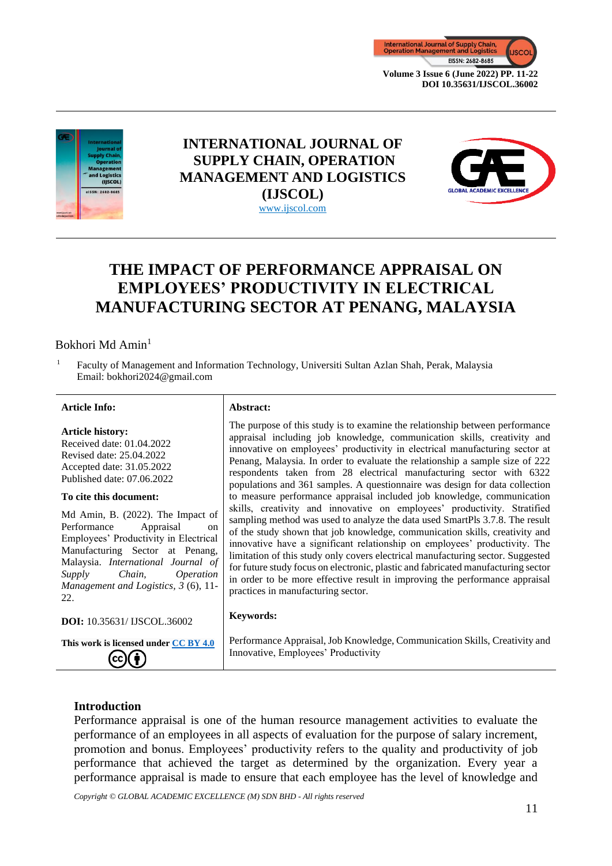



## **INTERNATIONAL JOURNAL OF SUPPLY CHAIN, OPERATION MANAGEMENT AND LOGISTICS (IJSCOL)** www.ijscol.com



# **THE IMPACT OF PERFORMANCE APPRAISAL ON EMPLOYEES' PRODUCTIVITY IN ELECTRICAL MANUFACTURING SECTOR AT PENANG, MALAYSIA**

## Bokhori Md Amin<sup>1</sup>

<sup>1</sup> Faculty of Management and Information Technology, Universiti Sultan Azlan Shah, Perak, Malaysia Email: bokhori2024@gmail.com

#### **Article Info: Abstract:**

**Article history:** Received date: 01.04.2022 Revised date: 25.04.2022 Accepted date: 31.05.2022 Published date: 07.06.2022

#### **To cite this document:**

Md Amin, B. (2022). The Impact of Performance Appraisal on Employees' Productivity in Electrical Manufacturing Sector at Penang, Malaysia. *International Journal of Supply Chain, Operation Management and Logistics, 3* (6), 11- 22.

**DOI:** 10.35631/ IJSCOL.36002

(cc)

**This work is licensed under [CC BY 4.0](https://creativecommons.org/licenses/by/4.0/?ref=chooser-v1)** († )

The purpose of this study is to examine the relationship between performance appraisal including job knowledge, communication skills, creativity and innovative on employees' productivity in electrical manufacturing sector at Penang, Malaysia. In order to evaluate the relationship a sample size of 222 respondents taken from 28 electrical manufacturing sector with 6322 populations and 361 samples. A questionnaire was design for data collection to measure performance appraisal included job knowledge, communication skills, creativity and innovative on employees' productivity. Stratified sampling method was used to analyze the data used SmartPls 3.7.8. The result of the study shown that job knowledge, communication skills, creativity and innovative have a significant relationship on employees' productivity. The limitation of this study only covers electrical manufacturing sector. Suggested for future study focus on electronic, plastic and fabricated manufacturing sector in order to be more effective result in improving the performance appraisal practices in manufacturing sector.

#### **Keywords:**

Performance Appraisal, Job Knowledge, Communication Skills, Creativity and Innovative, Employees' Productivity

## **Introduction**

Performance appraisal is one of the human resource management activities to evaluate the performance of an employees in all aspects of evaluation for the purpose of salary increment, promotion and bonus. Employees' productivity refers to the quality and productivity of job performance that achieved the target as determined by the organization. Every year a performance appraisal is made to ensure that each employee has the level of knowledge and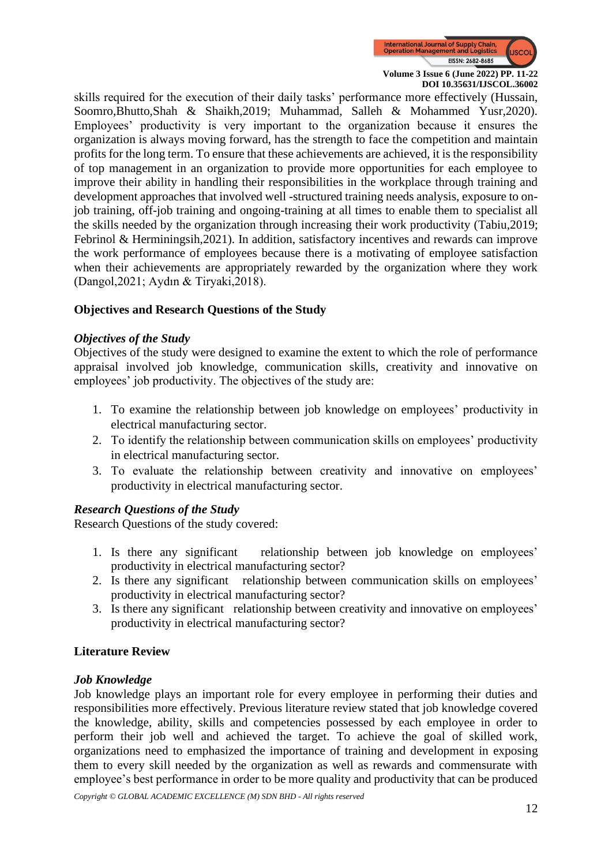

skills required for the execution of their daily tasks' performance more effectively (Hussain, Soomro,Bhutto,Shah & Shaikh,2019; Muhammad, Salleh & Mohammed Yusr,2020). Employees' productivity is very important to the organization because it ensures the organization is always moving forward, has the strength to face the competition and maintain profits for the long term. To ensure that these achievements are achieved, it is the responsibility of top management in an organization to provide more opportunities for each employee to improve their ability in handling their responsibilities in the workplace through training and development approaches that involved well -structured training needs analysis, exposure to onjob training, off-job training and ongoing-training at all times to enable them to specialist all the skills needed by the organization through increasing their work productivity (Tabiu,2019; Febrinol & Herminingsih,2021). In addition, satisfactory incentives and rewards can improve the work performance of employees because there is a motivating of employee satisfaction when their achievements are appropriately rewarded by the organization where they work (Dangol,2021; Aydın & Tiryaki,2018).

## **Objectives and Research Questions of the Study**

## *Objectives of the Study*

Objectives of the study were designed to examine the extent to which the role of performance appraisal involved job knowledge, communication skills, creativity and innovative on employees' job productivity. The objectives of the study are:

- 1. To examine the relationship between job knowledge on employees' productivity in electrical manufacturing sector.
- 2. To identify the relationship between communication skills on employees' productivity in electrical manufacturing sector.
- 3. To evaluate the relationship between creativity and innovative on employees' productivity in electrical manufacturing sector.

## *Research Questions of the Study*

Research Questions of the study covered:

- 1. Is there any significant relationship between job knowledge on employees' productivity in electrical manufacturing sector?
- 2. Is there any significant relationship between communication skills on employees' productivity in electrical manufacturing sector?
- 3. Is there any significant relationship between creativity and innovative on employees' productivity in electrical manufacturing sector?

## **Literature Review**

## *Job Knowledge*

Job knowledge plays an important role for every employee in performing their duties and responsibilities more effectively. Previous literature review stated that job knowledge covered the knowledge, ability, skills and competencies possessed by each employee in order to perform their job well and achieved the target. To achieve the goal of skilled work, organizations need to emphasized the importance of training and development in exposing them to every skill needed by the organization as well as rewards and commensurate with employee's best performance in order to be more quality and productivity that can be produced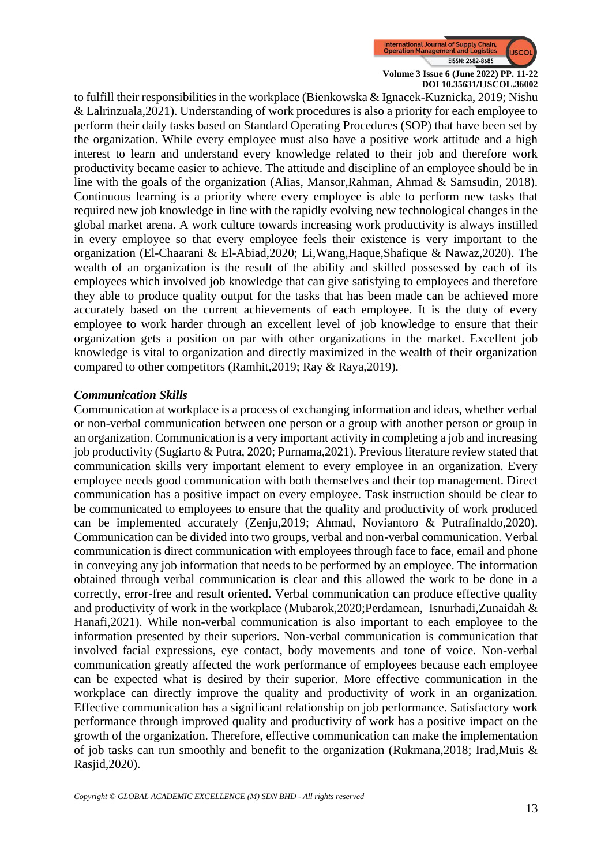

to fulfill their responsibilities in the workplace (Bienkowska & Ignacek-Kuznicka, 2019; Nishu & Lalrinzuala,2021). Understanding of work procedures is also a priority for each employee to perform their daily tasks based on Standard Operating Procedures (SOP) that have been set by the organization. While every employee must also have a positive work attitude and a high interest to learn and understand every knowledge related to their job and therefore work productivity became easier to achieve. The attitude and discipline of an employee should be in line with the goals of the organization (Alias, Mansor,Rahman, Ahmad & Samsudin, 2018). Continuous learning is a priority where every employee is able to perform new tasks that required new job knowledge in line with the rapidly evolving new technological changes in the global market arena. A work culture towards increasing work productivity is always instilled in every employee so that every employee feels their existence is very important to the organization (El-Chaarani & El-Abiad,2020; Li,Wang,Haque,Shafique & Nawaz,2020). The wealth of an organization is the result of the ability and skilled possessed by each of its employees which involved job knowledge that can give satisfying to employees and therefore they able to produce quality output for the tasks that has been made can be achieved more accurately based on the current achievements of each employee. It is the duty of every employee to work harder through an excellent level of job knowledge to ensure that their organization gets a position on par with other organizations in the market. Excellent job knowledge is vital to organization and directly maximized in the wealth of their organization compared to other competitors (Ramhit,2019; Ray & Raya,2019).

## *Communication Skills*

Communication at workplace is a process of exchanging information and ideas, whether verbal or non-verbal communication between one person or a group with another person or group in an organization. Communication is a very important activity in completing a job and increasing job productivity (Sugiarto & Putra, 2020; Purnama,2021). Previous literature review stated that communication skills very important element to every employee in an organization. Every employee needs good communication with both themselves and their top management. Direct communication has a positive impact on every employee. Task instruction should be clear to be communicated to employees to ensure that the quality and productivity of work produced can be implemented accurately (Zenju,2019; Ahmad, Noviantoro & Putrafinaldo,2020). Communication can be divided into two groups, verbal and non-verbal communication. Verbal communication is direct communication with employees through face to face, email and phone in conveying any job information that needs to be performed by an employee. The information obtained through verbal communication is clear and this allowed the work to be done in a correctly, error-free and result oriented. Verbal communication can produce effective quality and productivity of work in the workplace (Mubarok, 2020; Perdamean, Isnurhadi, Zunaidah  $\&$ Hanafi,2021). While non-verbal communication is also important to each employee to the information presented by their superiors. Non-verbal communication is communication that involved facial expressions, eye contact, body movements and tone of voice. Non-verbal communication greatly affected the work performance of employees because each employee can be expected what is desired by their superior. More effective communication in the workplace can directly improve the quality and productivity of work in an organization. Effective communication has a significant relationship on job performance. Satisfactory work performance through improved quality and productivity of work has a positive impact on the growth of the organization. Therefore, effective communication can make the implementation of job tasks can run smoothly and benefit to the organization (Rukmana, 2018; Irad, Muis & Rasjid,2020).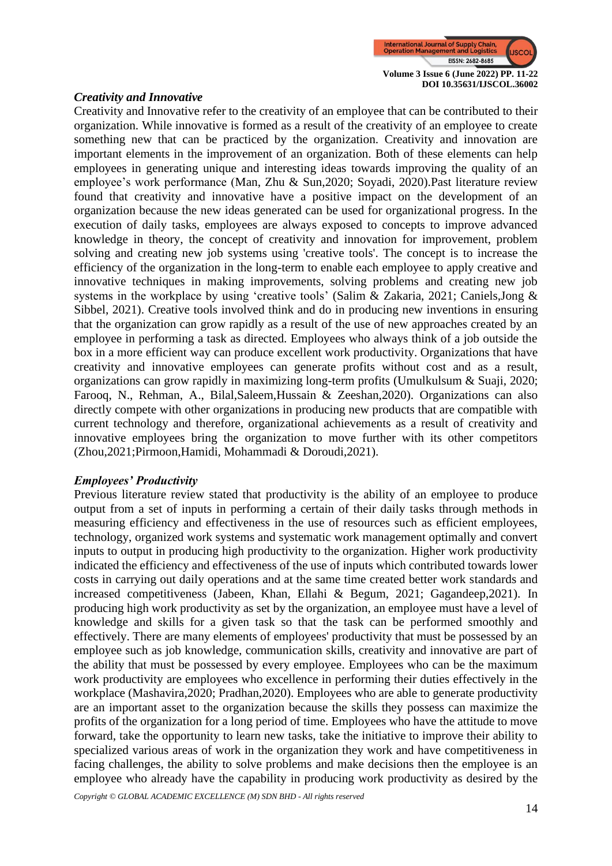

## *Creativity and Innovative*

Creativity and Innovative refer to the creativity of an employee that can be contributed to their organization. While innovative is formed as a result of the creativity of an employee to create something new that can be practiced by the organization. Creativity and innovation are important elements in the improvement of an organization. Both of these elements can help employees in generating unique and interesting ideas towards improving the quality of an employee's work performance (Man, Zhu & Sun,2020; Soyadi, 2020).Past literature review found that creativity and innovative have a positive impact on the development of an organization because the new ideas generated can be used for organizational progress. In the execution of daily tasks, employees are always exposed to concepts to improve advanced knowledge in theory, the concept of creativity and innovation for improvement, problem solving and creating new job systems using 'creative tools'. The concept is to increase the efficiency of the organization in the long-term to enable each employee to apply creative and innovative techniques in making improvements, solving problems and creating new job systems in the workplace by using 'creative tools' (Salim & Zakaria, 2021; Caniels,Jong & Sibbel, 2021). Creative tools involved think and do in producing new inventions in ensuring that the organization can grow rapidly as a result of the use of new approaches created by an employee in performing a task as directed. Employees who always think of a job outside the box in a more efficient way can produce excellent work productivity. Organizations that have creativity and innovative employees can generate profits without cost and as a result, organizations can grow rapidly in maximizing long-term profits (Umulkulsum & Suaji, 2020; Farooq, N., Rehman, A., Bilal,Saleem,Hussain & Zeeshan,2020). Organizations can also directly compete with other organizations in producing new products that are compatible with current technology and therefore, organizational achievements as a result of creativity and innovative employees bring the organization to move further with its other competitors (Zhou,2021;Pirmoon,Hamidi, Mohammadi & Doroudi,2021).

#### *Employees' Productivity*

Previous literature review stated that productivity is the ability of an employee to produce output from a set of inputs in performing a certain of their daily tasks through methods in measuring efficiency and effectiveness in the use of resources such as efficient employees, technology, organized work systems and systematic work management optimally and convert inputs to output in producing high productivity to the organization. Higher work productivity indicated the efficiency and effectiveness of the use of inputs which contributed towards lower costs in carrying out daily operations and at the same time created better work standards and increased competitiveness (Jabeen, Khan, Ellahi & Begum, 2021; Gagandeep,2021). In producing high work productivity as set by the organization, an employee must have a level of knowledge and skills for a given task so that the task can be performed smoothly and effectively. There are many elements of employees' productivity that must be possessed by an employee such as job knowledge, communication skills, creativity and innovative are part of the ability that must be possessed by every employee. Employees who can be the maximum work productivity are employees who excellence in performing their duties effectively in the workplace (Mashavira,2020; Pradhan,2020). Employees who are able to generate productivity are an important asset to the organization because the skills they possess can maximize the profits of the organization for a long period of time. Employees who have the attitude to move forward, take the opportunity to learn new tasks, take the initiative to improve their ability to specialized various areas of work in the organization they work and have competitiveness in facing challenges, the ability to solve problems and make decisions then the employee is an employee who already have the capability in producing work productivity as desired by the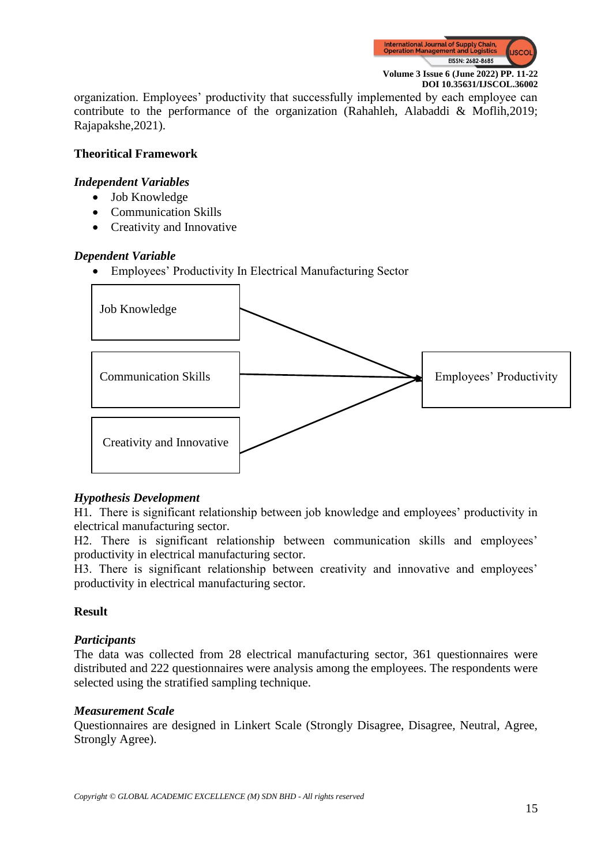

organization. Employees' productivity that successfully implemented by each employee can contribute to the performance of the organization (Rahahleh, Alabaddi & Moflih,2019; Rajapakshe,2021).

## **Theoritical Framework**

## *Independent Variables*

- Job Knowledge
- Communication Skills
- Creativity and Innovative

## *Dependent Variable*

• Employees' Productivity In Electrical Manufacturing Sector



## *Hypothesis Development*

H1. There is significant relationship between job knowledge and employees' productivity in electrical manufacturing sector.

H2. There is significant relationship between communication skills and employees' productivity in electrical manufacturing sector.

H3. There is significant relationship between creativity and innovative and employees' productivity in electrical manufacturing sector.

## **Result**

## *Participants*

The data was collected from 28 electrical manufacturing sector, 361 questionnaires were distributed and 222 questionnaires were analysis among the employees. The respondents were selected using the stratified sampling technique.

## *Measurement Scale*

Questionnaires are designed in Linkert Scale (Strongly Disagree, Disagree, Neutral, Agree, Strongly Agree).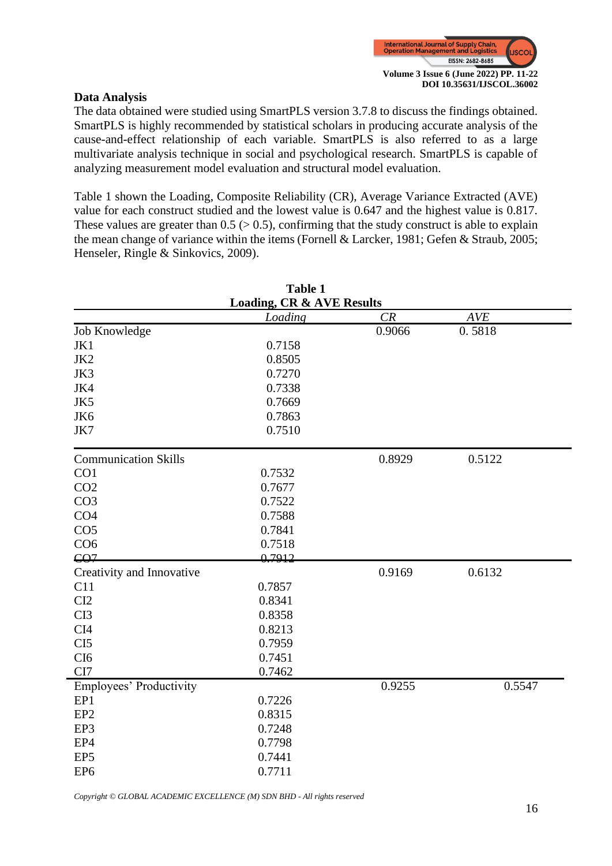

## **Data Analysis**

The data obtained were studied using SmartPLS version 3.7.8 to discuss the findings obtained. SmartPLS is highly recommended by statistical scholars in producing accurate analysis of the cause-and-effect relationship of each variable. SmartPLS is also referred to as a large multivariate analysis technique in social and psychological research. SmartPLS is capable of analyzing measurement model evaluation and structural model evaluation.

Table 1 shown the Loading, Composite Reliability (CR), Average Variance Extracted (AVE) value for each construct studied and the lowest value is 0.647 and the highest value is 0.817. These values are greater than  $0.5$  ( $> 0.5$ ), confirming that the study construct is able to explain the mean change of variance within the items (Fornell & Larcker, 1981; Gefen & Straub, 2005; Henseler, Ringle & Sinkovics, 2009).

| <b>Table 1</b>                       |         |        |            |  |  |  |  |
|--------------------------------------|---------|--------|------------|--|--|--|--|
| <b>Loading, CR &amp; AVE Results</b> |         |        |            |  |  |  |  |
|                                      | Loading | CR     | <b>AVE</b> |  |  |  |  |
| Job Knowledge                        |         | 0.9066 | 0.5818     |  |  |  |  |
| JK1                                  | 0.7158  |        |            |  |  |  |  |
| JK2                                  | 0.8505  |        |            |  |  |  |  |
| JK3                                  | 0.7270  |        |            |  |  |  |  |
| JK4                                  | 0.7338  |        |            |  |  |  |  |
| JK5                                  | 0.7669  |        |            |  |  |  |  |
| JK6                                  | 0.7863  |        |            |  |  |  |  |
| JK7                                  | 0.7510  |        |            |  |  |  |  |
| <b>Communication Skills</b>          |         | 0.8929 | 0.5122     |  |  |  |  |
| CO1                                  | 0.7532  |        |            |  |  |  |  |
| CO <sub>2</sub>                      | 0.7677  |        |            |  |  |  |  |
| CO <sub>3</sub>                      | 0.7522  |        |            |  |  |  |  |
| CO <sub>4</sub>                      | 0.7588  |        |            |  |  |  |  |
| CO <sub>5</sub>                      | 0.7841  |        |            |  |  |  |  |
| CO <sub>6</sub>                      | 0.7518  |        |            |  |  |  |  |
| CO <sub>7</sub>                      | 0.7912  |        |            |  |  |  |  |
| Creativity and Innovative            |         | 0.9169 | 0.6132     |  |  |  |  |
| C11                                  | 0.7857  |        |            |  |  |  |  |
| CI2                                  | 0.8341  |        |            |  |  |  |  |
| CI3                                  | 0.8358  |        |            |  |  |  |  |
| CI <sub>4</sub>                      | 0.8213  |        |            |  |  |  |  |
| CI <sub>5</sub>                      | 0.7959  |        |            |  |  |  |  |
| CI <sub>6</sub>                      | 0.7451  |        |            |  |  |  |  |
| CI7                                  | 0.7462  |        |            |  |  |  |  |
| Employees' Productivity              |         | 0.9255 | 0.5547     |  |  |  |  |
| EP1                                  | 0.7226  |        |            |  |  |  |  |
| EP <sub>2</sub>                      | 0.8315  |        |            |  |  |  |  |
| EP3                                  | 0.7248  |        |            |  |  |  |  |
| EP4                                  | 0.7798  |        |            |  |  |  |  |
| EP <sub>5</sub>                      | 0.7441  |        |            |  |  |  |  |
| EP <sub>6</sub>                      | 0.7711  |        |            |  |  |  |  |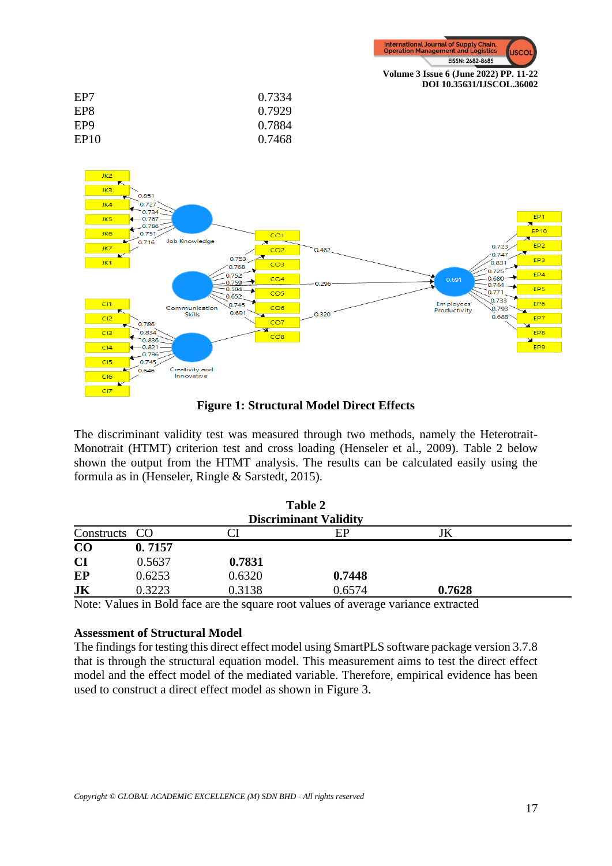

**DOI 10.35631/IJSCOL.36002**

| EP7              | 0.7334 |
|------------------|--------|
| EP8              | 0.7929 |
| EP <sub>9</sub>  | 0.7884 |
| EP <sub>10</sub> | 0.7468 |
|                  |        |



**Figure 1: Structural Model Direct Effects**

The discriminant validity test was measured through two methods, namely the Heterotrait-Monotrait (HTMT) criterion test and cross loading (Henseler et al., 2009). Table 2 below shown the output from the HTMT analysis. The results can be calculated easily using the formula as in (Henseler, Ringle & Sarstedt, 2015).

| Table 2<br><b>Discriminant Validity</b> |        |        |        |        |  |  |
|-----------------------------------------|--------|--------|--------|--------|--|--|
| Constructs CO                           |        |        | EP     | JK     |  |  |
| CO                                      | 0.7157 |        |        |        |  |  |
| <b>CI</b>                               | 0.5637 | 0.7831 |        |        |  |  |
| EP                                      | 0.6253 | 0.6320 | 0.7448 |        |  |  |
| JK                                      | 0.3223 | 0.3138 | 0.6574 | 0.7628 |  |  |

Note: Values in Bold face are the square root values of average variance extracted

## **Assessment of Structural Model**

The findings for testing this direct effect model using SmartPLS software package version 3.7.8 that is through the structural equation model. This measurement aims to test the direct effect model and the effect model of the mediated variable. Therefore, empirical evidence has been used to construct a direct effect model as shown in Figure 3.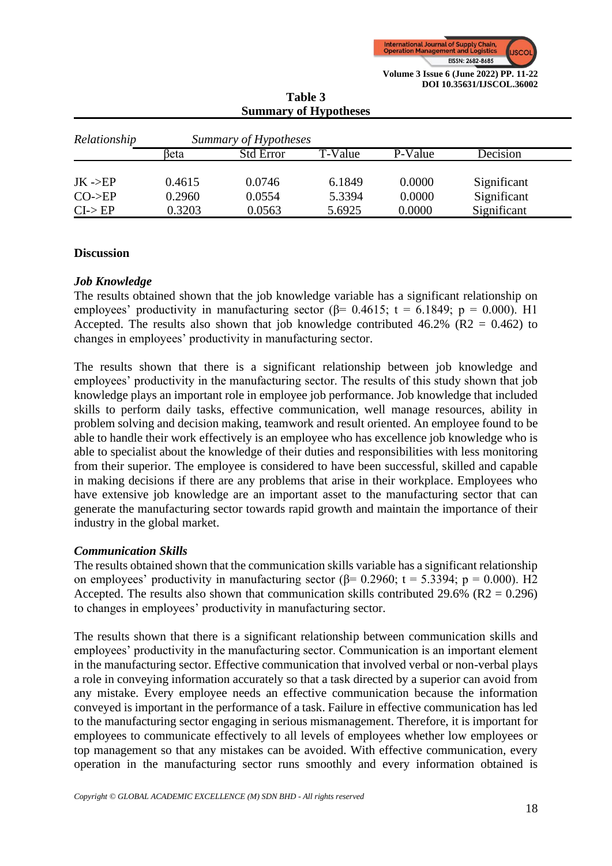

| <b>SUMMALY OF LLYPOLITES</b>       |                       |                  |         |         |             |  |
|------------------------------------|-----------------------|------------------|---------|---------|-------------|--|
| Relationship                       | Summary of Hypotheses |                  |         |         |             |  |
|                                    | βeta                  | <b>Std Error</b> | T-Value | P-Value | Decision    |  |
|                                    |                       |                  |         |         |             |  |
| $JK -\!\!\!\!\!\triangleright E$ P | 0.4615                | 0.0746           | 6.1849  | 0.0000  | Significant |  |
| $CO$ ->EP                          | 0.2960                | 0.0554           | 5.3394  | 0.0000  | Significant |  |
| $CI->EP$                           | 0.3203                | 0.0563           | 5.6925  | 0.0000  | Significant |  |

**Table 3 Summary of Hypotheses**

## **Discussion**

## *Job Knowledge*

The results obtained shown that the job knowledge variable has a significant relationship on employees' productivity in manufacturing sector  $(\beta= 0.4615; t = 6.1849; p = 0.000)$ . H1 Accepted. The results also shown that job knowledge contributed  $46.2\%$  (R2 = 0.462) to changes in employees' productivity in manufacturing sector.

The results shown that there is a significant relationship between job knowledge and employees' productivity in the manufacturing sector. The results of this study shown that job knowledge plays an important role in employee job performance. Job knowledge that included skills to perform daily tasks, effective communication, well manage resources, ability in problem solving and decision making, teamwork and result oriented. An employee found to be able to handle their work effectively is an employee who has excellence job knowledge who is able to specialist about the knowledge of their duties and responsibilities with less monitoring from their superior. The employee is considered to have been successful, skilled and capable in making decisions if there are any problems that arise in their workplace. Employees who have extensive job knowledge are an important asset to the manufacturing sector that can generate the manufacturing sector towards rapid growth and maintain the importance of their industry in the global market.

## *Communication Skills*

The results obtained shown that the communication skills variable has a significant relationship on employees' productivity in manufacturing sector ( $\beta$ = 0.2960; t = 5.3394; p = 0.000). H2 Accepted. The results also shown that communication skills contributed 29.6% ( $R2 = 0.296$ ) to changes in employees' productivity in manufacturing sector.

The results shown that there is a significant relationship between communication skills and employees' productivity in the manufacturing sector. Communication is an important element in the manufacturing sector. Effective communication that involved verbal or non-verbal plays a role in conveying information accurately so that a task directed by a superior can avoid from any mistake. Every employee needs an effective communication because the information conveyed is important in the performance of a task. Failure in effective communication has led to the manufacturing sector engaging in serious mismanagement. Therefore, it is important for employees to communicate effectively to all levels of employees whether low employees or top management so that any mistakes can be avoided. With effective communication, every operation in the manufacturing sector runs smoothly and every information obtained is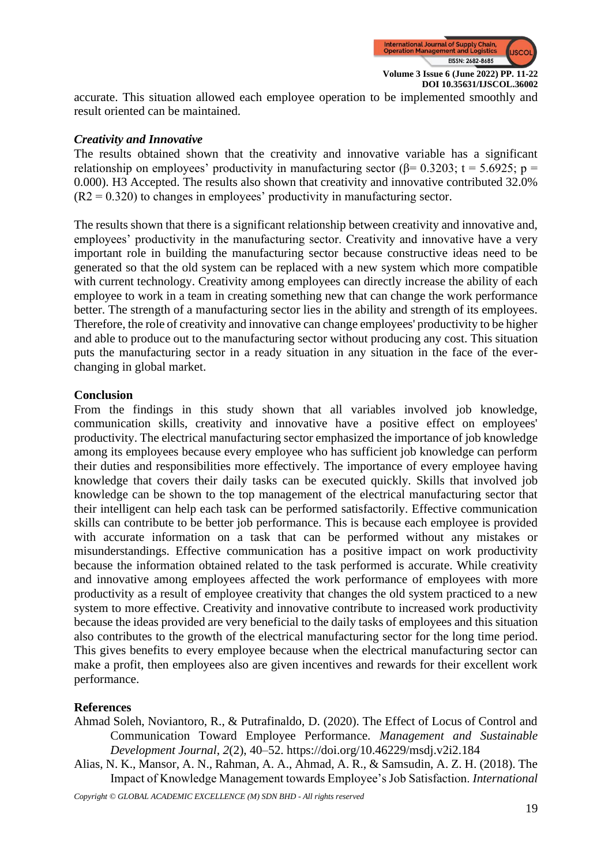

accurate. This situation allowed each employee operation to be implemented smoothly and result oriented can be maintained.

## *Creativity and Innovative*

The results obtained shown that the creativity and innovative variable has a significant relationship on employees' productivity in manufacturing sector ( $\beta$ = 0.3203; t = 5.6925; p = 0.000). H3 Accepted. The results also shown that creativity and innovative contributed 32.0%  $(R2 = 0.320)$  to changes in employees' productivity in manufacturing sector.

The results shown that there is a significant relationship between creativity and innovative and, employees' productivity in the manufacturing sector. Creativity and innovative have a very important role in building the manufacturing sector because constructive ideas need to be generated so that the old system can be replaced with a new system which more compatible with current technology. Creativity among employees can directly increase the ability of each employee to work in a team in creating something new that can change the work performance better. The strength of a manufacturing sector lies in the ability and strength of its employees. Therefore, the role of creativity and innovative can change employees' productivity to be higher and able to produce out to the manufacturing sector without producing any cost. This situation puts the manufacturing sector in a ready situation in any situation in the face of the everchanging in global market.

## **Conclusion**

From the findings in this study shown that all variables involved job knowledge, communication skills, creativity and innovative have a positive effect on employees' productivity. The electrical manufacturing sector emphasized the importance of job knowledge among its employees because every employee who has sufficient job knowledge can perform their duties and responsibilities more effectively. The importance of every employee having knowledge that covers their daily tasks can be executed quickly. Skills that involved job knowledge can be shown to the top management of the electrical manufacturing sector that their intelligent can help each task can be performed satisfactorily. Effective communication skills can contribute to be better job performance. This is because each employee is provided with accurate information on a task that can be performed without any mistakes or misunderstandings. Effective communication has a positive impact on work productivity because the information obtained related to the task performed is accurate. While creativity and innovative among employees affected the work performance of employees with more productivity as a result of employee creativity that changes the old system practiced to a new system to more effective. Creativity and innovative contribute to increased work productivity because the ideas provided are very beneficial to the daily tasks of employees and this situation also contributes to the growth of the electrical manufacturing sector for the long time period. This gives benefits to every employee because when the electrical manufacturing sector can make a profit, then employees also are given incentives and rewards for their excellent work performance.

## **References**

- Ahmad Soleh, Noviantoro, R., & Putrafinaldo, D. (2020). The Effect of Locus of Control and Communication Toward Employee Performance. *Management and Sustainable Development Journal*, *2*(2), 40–52. https://doi.org/10.46229/msdj.v2i2.184
- Alias, N. K., Mansor, A. N., Rahman, A. A., Ahmad, A. R., & Samsudin, A. Z. H. (2018). The Impact of Knowledge Management towards Employee's Job Satisfaction. *International*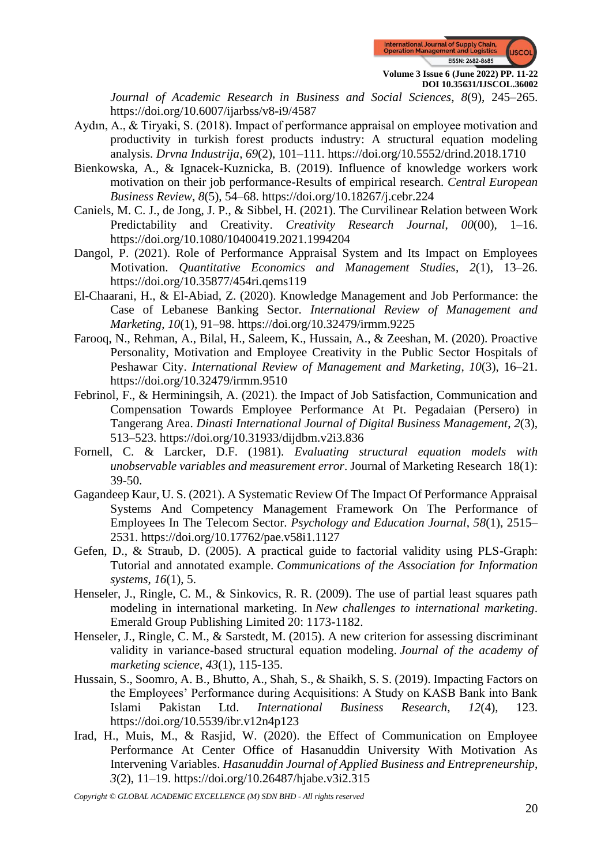

*Journal of Academic Research in Business and Social Sciences*, *8*(9), 245–265. https://doi.org/10.6007/ijarbss/v8-i9/4587

- Aydın, A., & Tiryaki, S. (2018). Impact of performance appraisal on employee motivation and productivity in turkish forest products industry: A structural equation modeling analysis. *Drvna Industrija*, *69*(2), 101–111. https://doi.org/10.5552/drind.2018.1710
- Bienkowska, A., & Ignacek-Kuznicka, B. (2019). Influence of knowledge workers work motivation on their job performance-Results of empirical research. *Central European Business Review*, *8*(5), 54–68. https://doi.org/10.18267/j.cebr.224
- Caniels, M. C. J., de Jong, J. P., & Sibbel, H. (2021). The Curvilinear Relation between Work Predictability and Creativity. *Creativity Research Journal*, *00*(00), 1–16. https://doi.org/10.1080/10400419.2021.1994204
- Dangol, P. (2021). Role of Performance Appraisal System and Its Impact on Employees Motivation. *Quantitative Economics and Management Studies*, *2*(1), 13–26. https://doi.org/10.35877/454ri.qems119
- El-Chaarani, H., & El-Abiad, Z. (2020). Knowledge Management and Job Performance: the Case of Lebanese Banking Sector. *International Review of Management and Marketing*, *10*(1), 91–98. https://doi.org/10.32479/irmm.9225
- Farooq, N., Rehman, A., Bilal, H., Saleem, K., Hussain, A., & Zeeshan, M. (2020). Proactive Personality, Motivation and Employee Creativity in the Public Sector Hospitals of Peshawar City. *International Review of Management and Marketing*, *10*(3), 16–21. https://doi.org/10.32479/irmm.9510
- Febrinol, F., & Herminingsih, A. (2021). the Impact of Job Satisfaction, Communication and Compensation Towards Employee Performance At Pt. Pegadaian (Persero) in Tangerang Area. *Dinasti International Journal of Digital Business Management*, *2*(3), 513–523. https://doi.org/10.31933/dijdbm.v2i3.836
- Fornell, C. & Larcker, D.F. (1981). *Evaluating structural equation models with unobservable variables and measurement error*. Journal of Marketing Research 18(1): 39-50.
- Gagandeep Kaur, U. S. (2021). A Systematic Review Of The Impact Of Performance Appraisal Systems And Competency Management Framework On The Performance of Employees In The Telecom Sector. *Psychology and Education Journal*, *58*(1), 2515– 2531. https://doi.org/10.17762/pae.v58i1.1127
- Gefen, D., & Straub, D. (2005). A practical guide to factorial validity using PLS-Graph: Tutorial and annotated example. *Communications of the Association for Information systems*, *16*(1), 5.
- Henseler, J., Ringle, C. M., & Sinkovics, R. R. (2009). The use of partial least squares path modeling in international marketing. In *New challenges to international marketing*. Emerald Group Publishing Limited 20: 1173-1182.
- Henseler, J., Ringle, C. M., & Sarstedt, M. (2015). A new criterion for assessing discriminant validity in variance-based structural equation modeling. *Journal of the academy of marketing science*, *43*(1), 115-135.
- Hussain, S., Soomro, A. B., Bhutto, A., Shah, S., & Shaikh, S. S. (2019). Impacting Factors on the Employees' Performance during Acquisitions: A Study on KASB Bank into Bank Islami Pakistan Ltd. *International Business Research*, *12*(4), 123. https://doi.org/10.5539/ibr.v12n4p123
- Irad, H., Muis, M., & Rasjid, W. (2020). the Effect of Communication on Employee Performance At Center Office of Hasanuddin University With Motivation As Intervening Variables. *Hasanuddin Journal of Applied Business and Entrepreneurship*, *3*(2), 11–19. https://doi.org/10.26487/hjabe.v3i2.315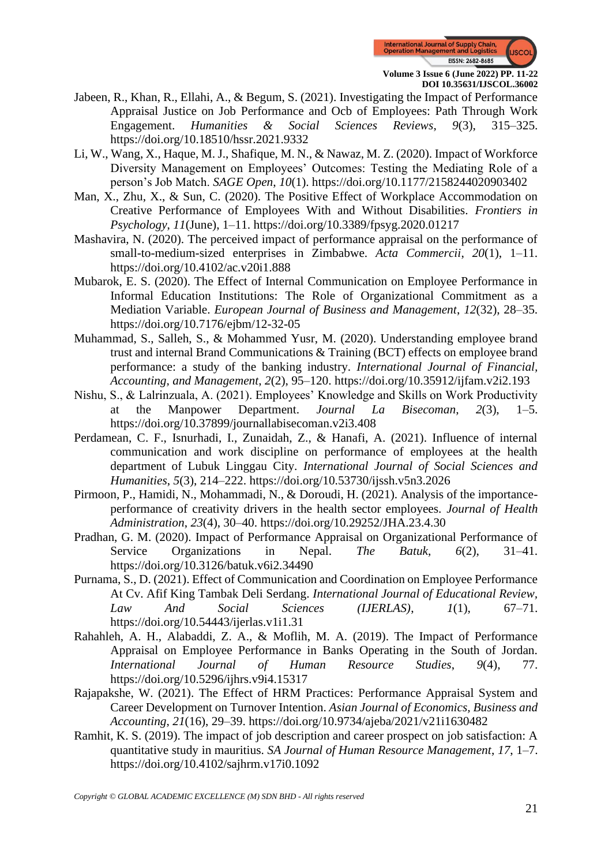

- Jabeen, R., Khan, R., Ellahi, A., & Begum, S. (2021). Investigating the Impact of Performance Appraisal Justice on Job Performance and Ocb of Employees: Path Through Work Engagement. *Humanities & Social Sciences Reviews*, *9*(3), 315–325. https://doi.org/10.18510/hssr.2021.9332
- Li, W., Wang, X., Haque, M. J., Shafique, M. N., & Nawaz, M. Z. (2020). Impact of Workforce Diversity Management on Employees' Outcomes: Testing the Mediating Role of a person's Job Match. *SAGE Open*, *10*(1). https://doi.org/10.1177/2158244020903402
- Man, X., Zhu, X., & Sun, C. (2020). The Positive Effect of Workplace Accommodation on Creative Performance of Employees With and Without Disabilities. *Frontiers in Psychology*, *11*(June), 1–11. https://doi.org/10.3389/fpsyg.2020.01217
- Mashavira, N. (2020). The perceived impact of performance appraisal on the performance of small-to-medium-sized enterprises in Zimbabwe. *Acta Commercii*, *20*(1), 1–11. https://doi.org/10.4102/ac.v20i1.888
- Mubarok, E. S. (2020). The Effect of Internal Communication on Employee Performance in Informal Education Institutions: The Role of Organizational Commitment as a Mediation Variable. *European Journal of Business and Management*, *12*(32), 28–35. https://doi.org/10.7176/ejbm/12-32-05
- Muhammad, S., Salleh, S., & Mohammed Yusr, M. (2020). Understanding employee brand trust and internal Brand Communications & Training (BCT) effects on employee brand performance: a study of the banking industry. *International Journal of Financial, Accounting, and Management*, *2*(2), 95–120. https://doi.org/10.35912/ijfam.v2i2.193
- Nishu, S., & Lalrinzuala, A. (2021). Employees' Knowledge and Skills on Work Productivity at the Manpower Department. *Journal La Bisecoman*, *2*(3), 1–5. https://doi.org/10.37899/journallabisecoman.v2i3.408
- Perdamean, C. F., Isnurhadi, I., Zunaidah, Z., & Hanafi, A. (2021). Influence of internal communication and work discipline on performance of employees at the health department of Lubuk Linggau City. *International Journal of Social Sciences and Humanities*, *5*(3), 214–222. https://doi.org/10.53730/ijssh.v5n3.2026
- Pirmoon, P., Hamidi, N., Mohammadi, N., & Doroudi, H. (2021). Analysis of the importanceperformance of creativity drivers in the health sector employees. *Journal of Health Administration*, *23*(4), 30–40. https://doi.org/10.29252/JHA.23.4.30
- Pradhan, G. M. (2020). Impact of Performance Appraisal on Organizational Performance of Service Organizations in Nepal. *The Batuk*, *6*(2), 31–41. https://doi.org/10.3126/batuk.v6i2.34490
- Purnama, S., D. (2021). Effect of Communication and Coordination on Employee Performance At Cv. Afif King Tambak Deli Serdang. *International Journal of Educational Review, Law And Social Sciences (IJERLAS)*, *1*(1), 67–71. https://doi.org/10.54443/ijerlas.v1i1.31
- Rahahleh, A. H., Alabaddi, Z. A., & Moflih, M. A. (2019). The Impact of Performance Appraisal on Employee Performance in Banks Operating in the South of Jordan. *International Journal of Human Resource Studies*, *9*(4), 77. https://doi.org/10.5296/ijhrs.v9i4.15317
- Rajapakshe, W. (2021). The Effect of HRM Practices: Performance Appraisal System and Career Development on Turnover Intention. *Asian Journal of Economics, Business and Accounting*, *21*(16), 29–39. https://doi.org/10.9734/ajeba/2021/v21i1630482
- Ramhit, K. S. (2019). The impact of job description and career prospect on job satisfaction: A quantitative study in mauritius. *SA Journal of Human Resource Management*, *17*, 1–7. https://doi.org/10.4102/sajhrm.v17i0.1092